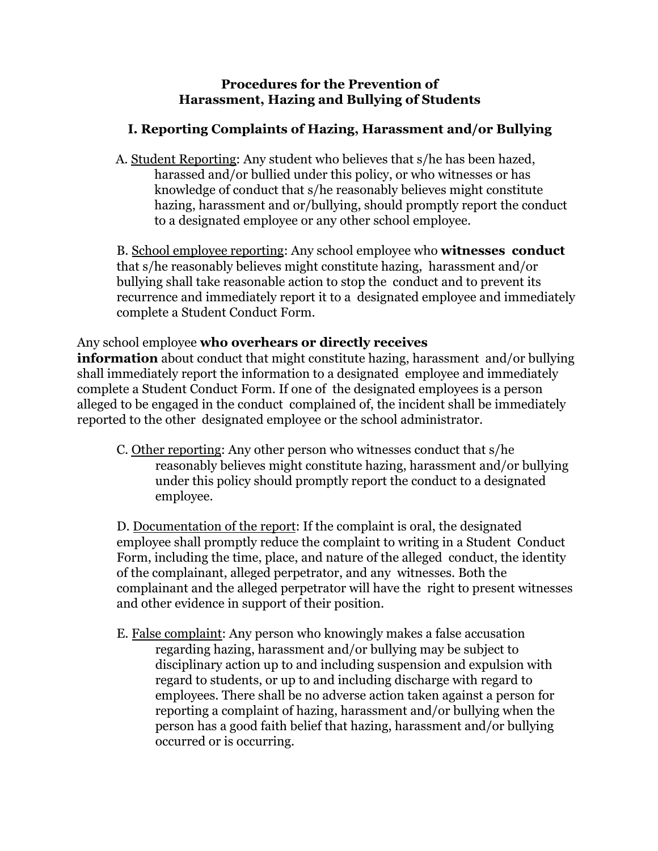### **Procedures for the Prevention of Harassment, Hazing and Bullying of Students**

# **I. Reporting Complaints of Hazing, Harassment and/or Bullying**

A. Student Reporting: Any student who believes that s/he has been hazed, harassed and/or bullied under this policy, or who witnesses or has knowledge of conduct that s/he reasonably believes might constitute hazing, harassment and or/bullying, should promptly report the conduct to a designated employee or any other school employee.

B. School employee reporting: Any school employee who **witnesses conduct** that s/he reasonably believes might constitute hazing, harassment and/or bullying shall take reasonable action to stop the conduct and to prevent its recurrence and immediately report it to a designated employee and immediately complete a Student Conduct Form.

### Any school employee **who overhears or directly receives**

**information** about conduct that might constitute hazing, harassment and/or bullying shall immediately report the information to a designated employee and immediately complete a Student Conduct Form. If one of the designated employees is a person alleged to be engaged in the conduct complained of, the incident shall be immediately reported to the other designated employee or the school administrator.

C. Other reporting: Any other person who witnesses conduct that s/he reasonably believes might constitute hazing, harassment and/or bullying under this policy should promptly report the conduct to a designated employee.

D. Documentation of the report: If the complaint is oral, the designated employee shall promptly reduce the complaint to writing in a Student Conduct Form, including the time, place, and nature of the alleged conduct, the identity of the complainant, alleged perpetrator, and any witnesses. Both the complainant and the alleged perpetrator will have the right to present witnesses and other evidence in support of their position.

E. False complaint: Any person who knowingly makes a false accusation regarding hazing, harassment and/or bullying may be subject to disciplinary action up to and including suspension and expulsion with regard to students, or up to and including discharge with regard to employees. There shall be no adverse action taken against a person for reporting a complaint of hazing, harassment and/or bullying when the person has a good faith belief that hazing, harassment and/or bullying occurred or is occurring.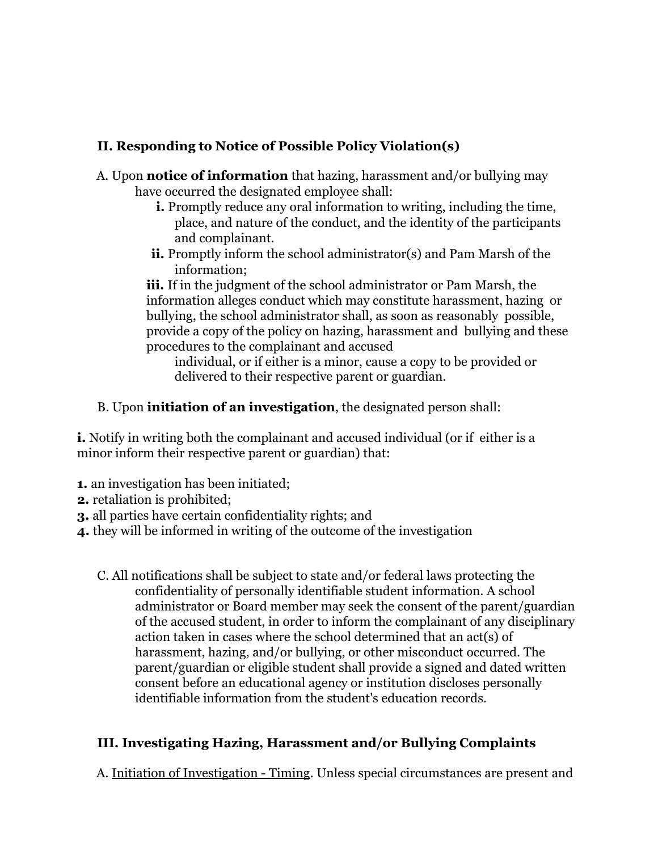# **II. Responding to Notice of Possible Policy Violation(s)**

- A. Upon **notice of information** that hazing, harassment and/or bullying may have occurred the designated employee shall:
	- **i.** Promptly reduce any oral information to writing, including the time, place, and nature of the conduct, and the identity of the participants and complainant.
	- **ii.** Promptly inform the school administrator(s) and Pam Marsh of the information;

**iii.** If in the judgment of the school administrator or Pam Marsh, the information alleges conduct which may constitute harassment, hazing or bullying, the school administrator shall, as soon as reasonably possible, provide a copy of the policy on hazing, harassment and bullying and these procedures to the complainant and accused

individual, or if either is a minor, cause a copy to be provided or delivered to their respective parent or guardian.

B. Upon **initiation of an investigation**, the designated person shall:

**i.** Notify in writing both the complainant and accused individual (or if either is a minor inform their respective parent or guardian) that:

- **1.** an investigation has been initiated;
- **2.** retaliation is prohibited;
- **3.** all parties have certain confidentiality rights; and
- **4.** they will be informed in writing of the outcome of the investigation
	- C. All notifications shall be subject to state and/or federal laws protecting the confidentiality of personally identifiable student information. A school administrator or Board member may seek the consent of the parent/guardian of the accused student, in order to inform the complainant of any disciplinary action taken in cases where the school determined that an act(s) of harassment, hazing, and/or bullying, or other misconduct occurred. The parent/guardian or eligible student shall provide a signed and dated written consent before an educational agency or institution discloses personally identifiable information from the student's education records.

### **III. Investigating Hazing, Harassment and/or Bullying Complaints**

A. Initiation of Investigation - Timing. Unless special circumstances are present and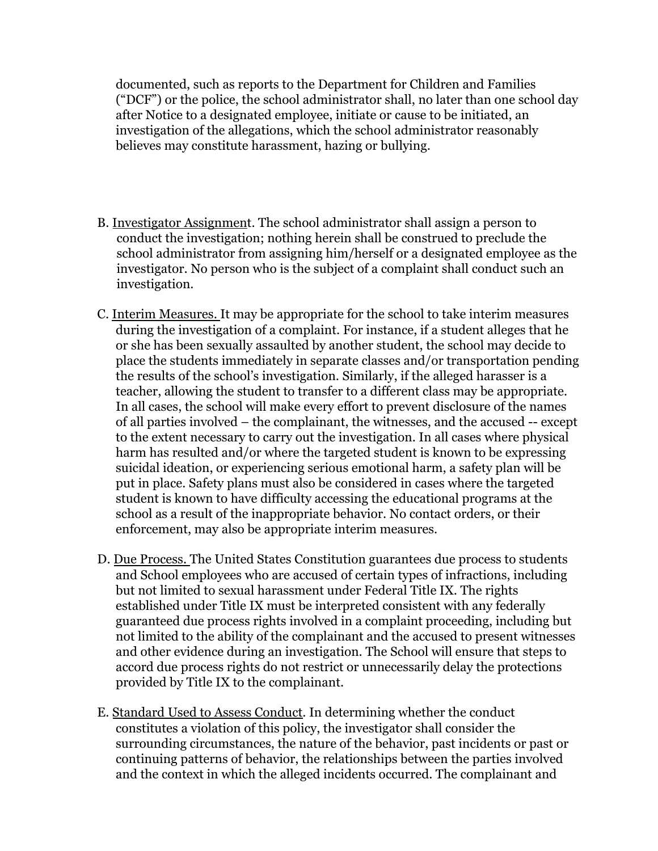documented, such as reports to the Department for Children and Families ("DCF") or the police, the school administrator shall, no later than one school day after Notice to a designated employee, initiate or cause to be initiated, an investigation of the allegations, which the school administrator reasonably believes may constitute harassment, hazing or bullying.

- B. Investigator Assignment. The school administrator shall assign a person to conduct the investigation; nothing herein shall be construed to preclude the school administrator from assigning him/herself or a designated employee as the investigator. No person who is the subject of a complaint shall conduct such an investigation.
- C. Interim Measures. It may be appropriate for the school to take interim measures during the investigation of a complaint. For instance, if a student alleges that he or she has been sexually assaulted by another student, the school may decide to place the students immediately in separate classes and/or transportation pending the results of the school's investigation. Similarly, if the alleged harasser is a teacher, allowing the student to transfer to a different class may be appropriate. In all cases, the school will make every effort to prevent disclosure of the names of all parties involved – the complainant, the witnesses, and the accused -- except to the extent necessary to carry out the investigation. In all cases where physical harm has resulted and/or where the targeted student is known to be expressing suicidal ideation, or experiencing serious emotional harm, a safety plan will be put in place. Safety plans must also be considered in cases where the targeted student is known to have difficulty accessing the educational programs at the school as a result of the inappropriate behavior. No contact orders, or their enforcement, may also be appropriate interim measures.
- D. Due Process. The United States Constitution guarantees due process to students and School employees who are accused of certain types of infractions, including but not limited to sexual harassment under Federal Title IX. The rights established under Title IX must be interpreted consistent with any federally guaranteed due process rights involved in a complaint proceeding, including but not limited to the ability of the complainant and the accused to present witnesses and other evidence during an investigation. The School will ensure that steps to accord due process rights do not restrict or unnecessarily delay the protections provided by Title IX to the complainant.
- E. Standard Used to Assess Conduct. In determining whether the conduct constitutes a violation of this policy, the investigator shall consider the surrounding circumstances, the nature of the behavior, past incidents or past or continuing patterns of behavior, the relationships between the parties involved and the context in which the alleged incidents occurred. The complainant and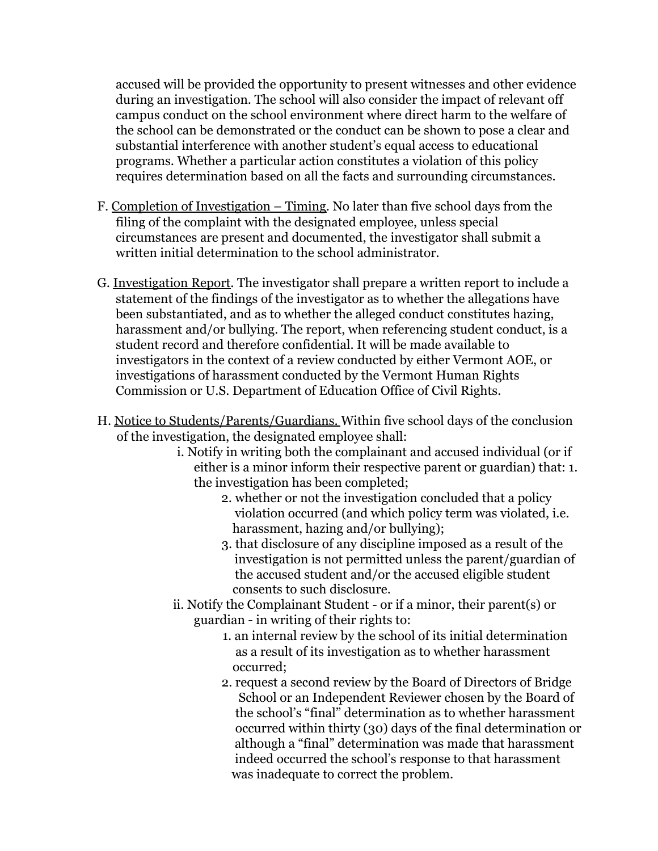accused will be provided the opportunity to present witnesses and other evidence during an investigation. The school will also consider the impact of relevant off campus conduct on the school environment where direct harm to the welfare of the school can be demonstrated or the conduct can be shown to pose a clear and substantial interference with another student's equal access to educational programs. Whether a particular action constitutes a violation of this policy requires determination based on all the facts and surrounding circumstances.

- F. Completion of Investigation Timing. No later than five school days from the filing of the complaint with the designated employee, unless special circumstances are present and documented, the investigator shall submit a written initial determination to the school administrator.
- G. Investigation Report. The investigator shall prepare a written report to include a statement of the findings of the investigator as to whether the allegations have been substantiated, and as to whether the alleged conduct constitutes hazing, harassment and/or bullying. The report, when referencing student conduct, is a student record and therefore confidential. It will be made available to investigators in the context of a review conducted by either Vermont AOE, or investigations of harassment conducted by the Vermont Human Rights Commission or U.S. Department of Education Office of Civil Rights.
- H. Notice to Students/Parents/Guardians. Within five school days of the conclusion of the investigation, the designated employee shall:
	- i. Notify in writing both the complainant and accused individual (or if either is a minor inform their respective parent or guardian) that: 1. the investigation has been completed;
		- 2. whether or not the investigation concluded that a policy violation occurred (and which policy term was violated, i.e. harassment, hazing and/or bullying);
		- 3. that disclosure of any discipline imposed as a result of the investigation is not permitted unless the parent/guardian of the accused student and/or the accused eligible student consents to such disclosure.
	- ii. Notify the Complainant Student or if a minor, their parent(s) or guardian - in writing of their rights to:
		- 1. an internal review by the school of its initial determination as a result of its investigation as to whether harassment occurred;
		- 2. request a second review by the Board of Directors of Bridge School or an Independent Reviewer chosen by the Board of the school's "final" determination as to whether harassment occurred within thirty (30) days of the final determination or although a "final" determination was made that harassment indeed occurred the school's response to that harassment was inadequate to correct the problem.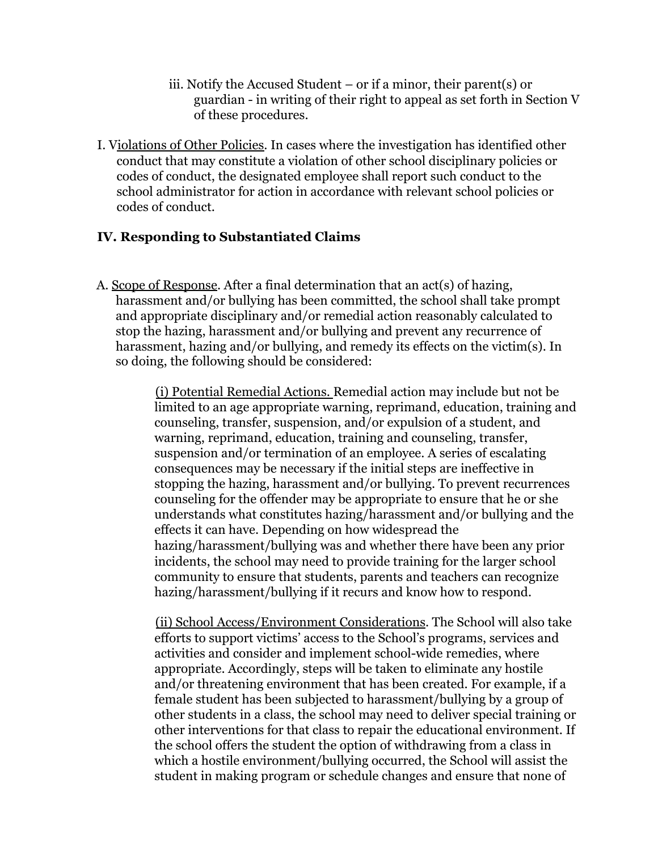- iii. Notify the Accused Student or if a minor, their parent(s) or guardian - in writing of their right to appeal as set forth in Section V of these procedures.
- I. Violations of Other Policies. In cases where the investigation has identified other conduct that may constitute a violation of other school disciplinary policies or codes of conduct, the designated employee shall report such conduct to the school administrator for action in accordance with relevant school policies or codes of conduct.

### **IV. Responding to Substantiated Claims**

A. Scope of Response. After a final determination that an act(s) of hazing, harassment and/or bullying has been committed, the school shall take prompt and appropriate disciplinary and/or remedial action reasonably calculated to stop the hazing, harassment and/or bullying and prevent any recurrence of harassment, hazing and/or bullying, and remedy its effects on the victim(s). In so doing, the following should be considered:

> (i) Potential Remedial Actions. Remedial action may include but not be limited to an age appropriate warning, reprimand, education, training and counseling, transfer, suspension, and/or expulsion of a student, and warning, reprimand, education, training and counseling, transfer, suspension and/or termination of an employee. A series of escalating consequences may be necessary if the initial steps are ineffective in stopping the hazing, harassment and/or bullying. To prevent recurrences counseling for the offender may be appropriate to ensure that he or she understands what constitutes hazing/harassment and/or bullying and the effects it can have. Depending on how widespread the hazing/harassment/bullying was and whether there have been any prior incidents, the school may need to provide training for the larger school community to ensure that students, parents and teachers can recognize hazing/harassment/bullying if it recurs and know how to respond.

> (ii) School Access/Environment Considerations. The School will also take efforts to support victims' access to the School's programs, services and activities and consider and implement school-wide remedies, where appropriate. Accordingly, steps will be taken to eliminate any hostile and/or threatening environment that has been created. For example, if a female student has been subjected to harassment/bullying by a group of other students in a class, the school may need to deliver special training or other interventions for that class to repair the educational environment. If the school offers the student the option of withdrawing from a class in which a hostile environment/bullying occurred, the School will assist the student in making program or schedule changes and ensure that none of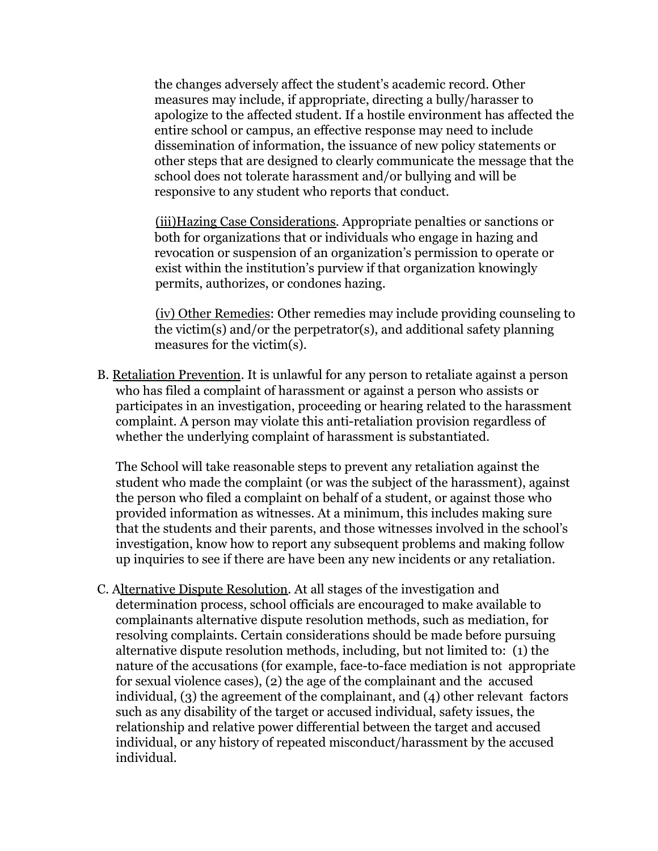the changes adversely affect the student's academic record. Other measures may include, if appropriate, directing a bully/harasser to apologize to the affected student. If a hostile environment has affected the entire school or campus, an effective response may need to include dissemination of information, the issuance of new policy statements or other steps that are designed to clearly communicate the message that the school does not tolerate harassment and/or bullying and will be responsive to any student who reports that conduct.

(iii)Hazing Case Considerations. Appropriate penalties or sanctions or both for organizations that or individuals who engage in hazing and revocation or suspension of an organization's permission to operate or exist within the institution's purview if that organization knowingly permits, authorizes, or condones hazing.

(iv) Other Remedies: Other remedies may include providing counseling to the victim(s) and/or the perpetrator(s), and additional safety planning measures for the victim(s).

B. Retaliation Prevention. It is unlawful for any person to retaliate against a person who has filed a complaint of harassment or against a person who assists or participates in an investigation, proceeding or hearing related to the harassment complaint. A person may violate this anti-retaliation provision regardless of whether the underlying complaint of harassment is substantiated.

The School will take reasonable steps to prevent any retaliation against the student who made the complaint (or was the subject of the harassment), against the person who filed a complaint on behalf of a student, or against those who provided information as witnesses. At a minimum, this includes making sure that the students and their parents, and those witnesses involved in the school's investigation, know how to report any subsequent problems and making follow up inquiries to see if there are have been any new incidents or any retaliation.

C. Alternative Dispute Resolution. At all stages of the investigation and determination process, school officials are encouraged to make available to complainants alternative dispute resolution methods, such as mediation, for resolving complaints. Certain considerations should be made before pursuing alternative dispute resolution methods, including, but not limited to: (1) the nature of the accusations (for example, face-to-face mediation is not appropriate for sexual violence cases), (2) the age of the complainant and the accused individual, (3) the agreement of the complainant, and (4) other relevant factors such as any disability of the target or accused individual, safety issues, the relationship and relative power differential between the target and accused individual, or any history of repeated misconduct/harassment by the accused individual*.*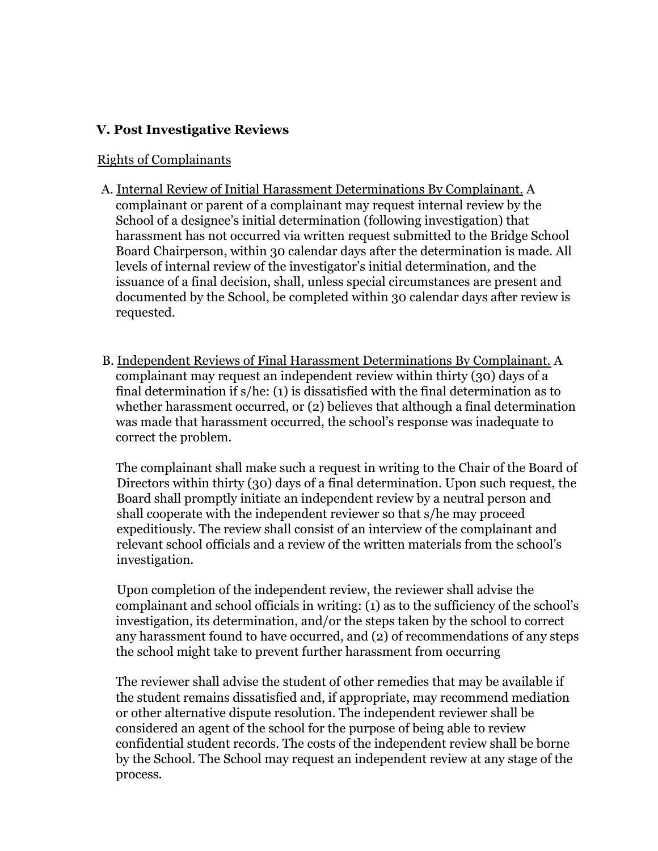### **V. Post Investigative Reviews**

#### Rights of Complainants

- A. Internal Review of Initial Harassment Determinations By Complainant. A complainant or parent of a complainant may request internal review by the School of a designee's initial determination (following investigation) that harassment has not occurred via written request submitted to the Bridge School Board Chairperson, within 30 calendar days after the determination is made. All levels of internal review of the investigator's initial determination, and the issuance of a final decision, shall, unless special circumstances are present and documented by the School, be completed within 30 calendar days after review is requested.
- B. Independent Reviews of Final Harassment Determinations By Complainant. A complainant may request an independent review within thirty (30) days of a final determination if s/he: (1) is dissatisfied with the final determination as to whether harassment occurred, or (2) believes that although a final determination was made that harassment occurred, the school's response was inadequate to correct the problem.

The complainant shall make such a request in writing to the Chair of the Board of Directors within thirty (30) days of a final determination. Upon such request, the Board shall promptly initiate an independent review by a neutral person and shall cooperate with the independent reviewer so that s/he may proceed expeditiously. The review shall consist of an interview of the complainant and relevant school officials and a review of the written materials from the school's investigation.

Upon completion of the independent review, the reviewer shall advise the complainant and school officials in writing: (1) as to the sufficiency of the school's investigation, its determination, and/or the steps taken by the school to correct any harassment found to have occurred, and (2) of recommendations of any steps the school might take to prevent further harassment from occurring

The reviewer shall advise the student of other remedies that may be available if the student remains dissatisfied and, if appropriate, may recommend mediation or other alternative dispute resolution. The independent reviewer shall be considered an agent of the school for the purpose of being able to review confidential student records. The costs of the independent review shall be borne by the School. The School may request an independent review at any stage of the process.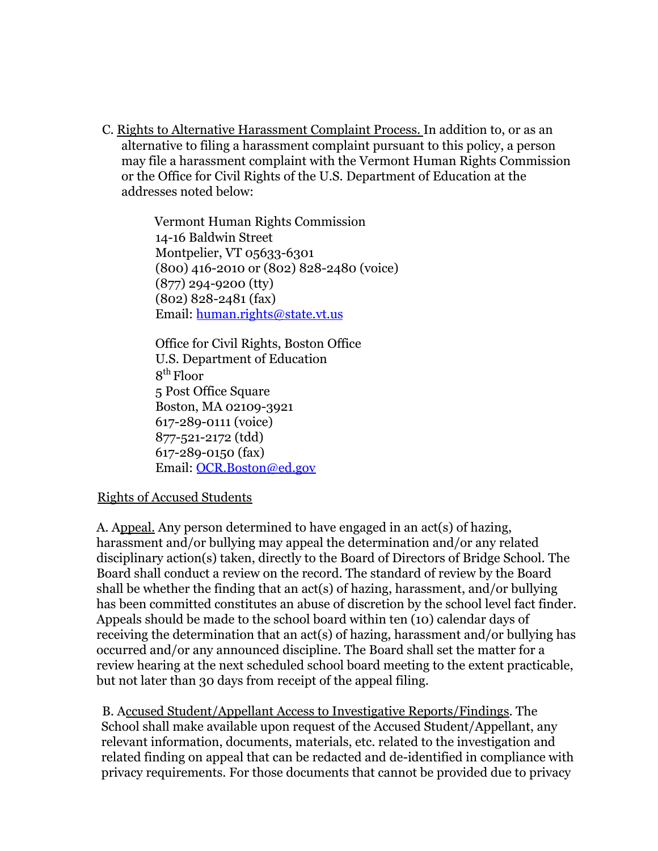C. Rights to Alternative Harassment Complaint Process. In addition to, or as an alternative to filing a harassment complaint pursuant to this policy, a person may file a harassment complaint with the Vermont Human Rights Commission or the Office for Civil Rights of the U.S. Department of Education at the addresses noted below:

> Vermont Human Rights Commission 14-16 Baldwin Street Montpelier, VT 05633-6301 (800) 416-2010 or (802) 828-2480 (voice) (877) 294-9200 (tty) (802) 828-2481 (fax) Email: human.rights@state.vt.us

Office for Civil Rights, Boston Office U.S. Department of Education 8 th Floor 5 Post Office Square Boston, MA 02109-3921 617-289-0111 (voice) 877-521-2172 (tdd) 617-289-0150 (fax) Email: OCR.Boston@ed.gov

#### Rights of Accused Students

A. Appeal. Any person determined to have engaged in an act(s) of hazing, harassment and/or bullying may appeal the determination and/or any related disciplinary action(s) taken, directly to the Board of Directors of Bridge School. The Board shall conduct a review on the record. The standard of review by the Board shall be whether the finding that an act(s) of hazing, harassment, and/or bullying has been committed constitutes an abuse of discretion by the school level fact finder. Appeals should be made to the school board within ten (10) calendar days of receiving the determination that an act(s) of hazing, harassment and/or bullying has occurred and/or any announced discipline. The Board shall set the matter for a review hearing at the next scheduled school board meeting to the extent practicable, but not later than 30 days from receipt of the appeal filing.

B. Accused Student/Appellant Access to Investigative Reports/Findings. The School shall make available upon request of the Accused Student/Appellant, any relevant information, documents, materials, etc. related to the investigation and related finding on appeal that can be redacted and de-identified in compliance with privacy requirements. For those documents that cannot be provided due to privacy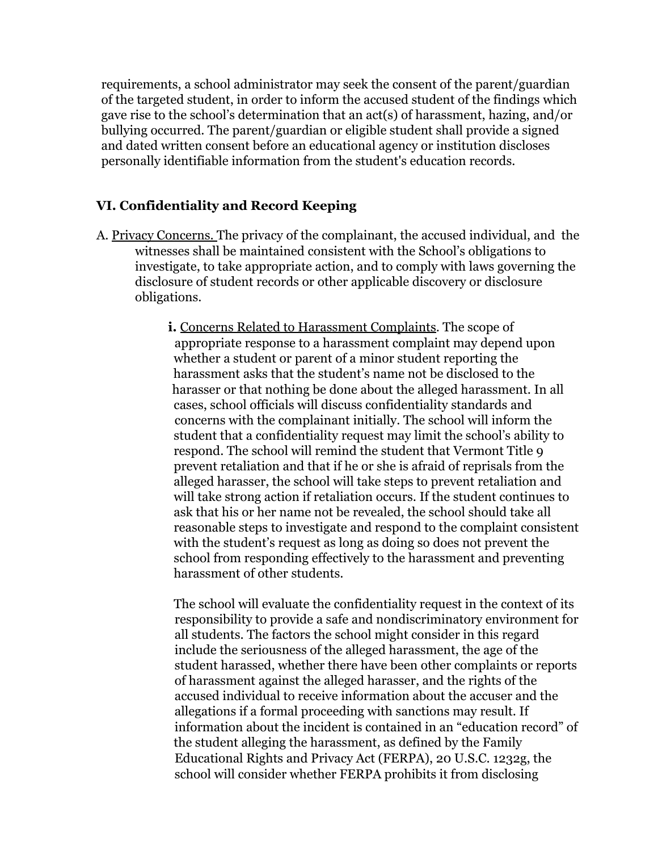requirements, a school administrator may seek the consent of the parent/guardian of the targeted student, in order to inform the accused student of the findings which gave rise to the school's determination that an act(s) of harassment, hazing, and/or bullying occurred. The parent/guardian or eligible student shall provide a signed and dated written consent before an educational agency or institution discloses personally identifiable information from the student's education records.

## **VI. Confidentiality and Record Keeping**

- A. Privacy Concerns. The privacy of the complainant, the accused individual, and the witnesses shall be maintained consistent with the School's obligations to investigate, to take appropriate action, and to comply with laws governing the disclosure of student records or other applicable discovery or disclosure obligations.
	- **i.** Concerns Related to Harassment Complaints. The scope of appropriate response to a harassment complaint may depend upon whether a student or parent of a minor student reporting the harassment asks that the student's name not be disclosed to the harasser or that nothing be done about the alleged harassment. In all cases, school officials will discuss confidentiality standards and concerns with the complainant initially. The school will inform the student that a confidentiality request may limit the school's ability to respond. The school will remind the student that Vermont Title 9 prevent retaliation and that if he or she is afraid of reprisals from the alleged harasser, the school will take steps to prevent retaliation and will take strong action if retaliation occurs. If the student continues to ask that his or her name not be revealed, the school should take all reasonable steps to investigate and respond to the complaint consistent with the student's request as long as doing so does not prevent the school from responding effectively to the harassment and preventing harassment of other students.

The school will evaluate the confidentiality request in the context of its responsibility to provide a safe and nondiscriminatory environment for all students. The factors the school might consider in this regard include the seriousness of the alleged harassment, the age of the student harassed, whether there have been other complaints or reports of harassment against the alleged harasser, and the rights of the accused individual to receive information about the accuser and the allegations if a formal proceeding with sanctions may result. If information about the incident is contained in an "education record" of the student alleging the harassment, as defined by the Family Educational Rights and Privacy Act (FERPA), 20 U.S.C. 1232g, the school will consider whether FERPA prohibits it from disclosing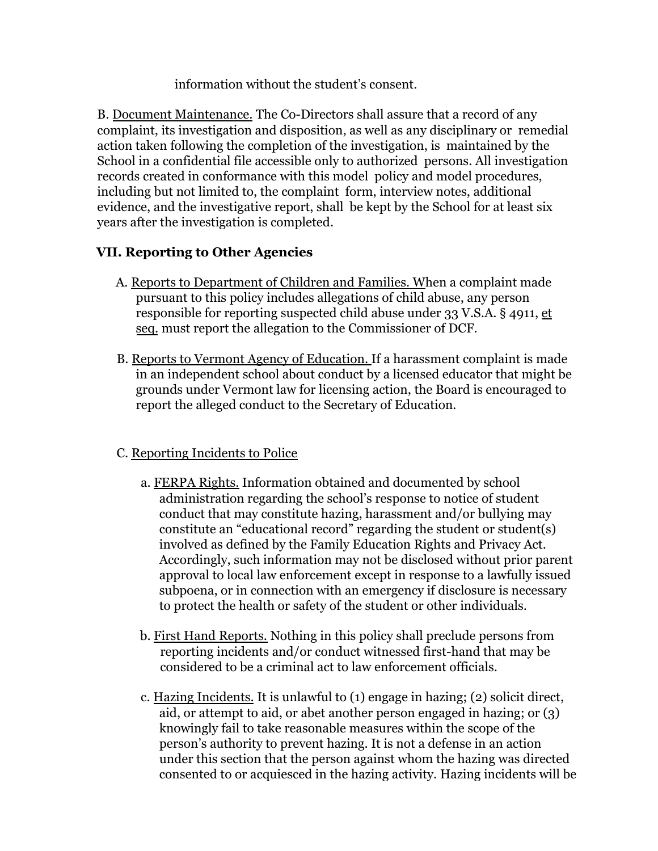information without the student's consent.

B. Document Maintenance. The Co-Directors shall assure that a record of any complaint, its investigation and disposition, as well as any disciplinary or remedial action taken following the completion of the investigation, is maintained by the School in a confidential file accessible only to authorized persons. All investigation records created in conformance with this model policy and model procedures, including but not limited to, the complaint form, interview notes, additional evidence, and the investigative report, shall be kept by the School for at least six years after the investigation is completed.

# **VII. Reporting to Other Agencies**

- A. Reports to Department of Children and Families. When a complaint made pursuant to this policy includes allegations of child abuse, any person responsible for reporting suspected child abuse under 33 V.S.A. § 4911, et seq. must report the allegation to the Commissioner of DCF.
- B. Reports to Vermont Agency of Education. If a harassment complaint is made in an independent school about conduct by a licensed educator that might be grounds under Vermont law for licensing action, the Board is encouraged to report the alleged conduct to the Secretary of Education.

### C. Reporting Incidents to Police

- a. FERPA Rights. Information obtained and documented by school administration regarding the school's response to notice of student conduct that may constitute hazing, harassment and/or bullying may constitute an "educational record" regarding the student or student(s) involved as defined by the Family Education Rights and Privacy Act. Accordingly, such information may not be disclosed without prior parent approval to local law enforcement except in response to a lawfully issued subpoena, or in connection with an emergency if disclosure is necessary to protect the health or safety of the student or other individuals.
- b. First Hand Reports. Nothing in this policy shall preclude persons from reporting incidents and/or conduct witnessed first-hand that may be considered to be a criminal act to law enforcement officials.
- c. Hazing Incidents. It is unlawful to (1) engage in hazing; (2) solicit direct, aid, or attempt to aid, or abet another person engaged in hazing; or (3) knowingly fail to take reasonable measures within the scope of the person's authority to prevent hazing. It is not a defense in an action under this section that the person against whom the hazing was directed consented to or acquiesced in the hazing activity. Hazing incidents will be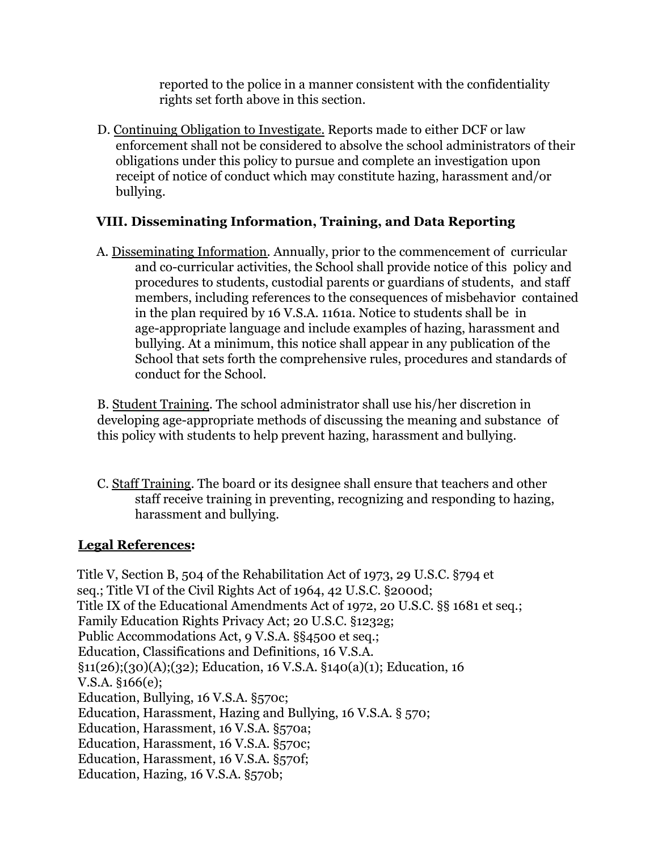reported to the police in a manner consistent with the confidentiality rights set forth above in this section.

D. Continuing Obligation to Investigate. Reports made to either DCF or law enforcement shall not be considered to absolve the school administrators of their obligations under this policy to pursue and complete an investigation upon receipt of notice of conduct which may constitute hazing, harassment and/or bullying.

# **VIII. Disseminating Information, Training, and Data Reporting**

A. Disseminating Information. Annually, prior to the commencement of curricular and co-curricular activities, the School shall provide notice of this policy and procedures to students, custodial parents or guardians of students, and staff members, including references to the consequences of misbehavior contained in the plan required by 16 V.S.A. 1161a. Notice to students shall be in age-appropriate language and include examples of hazing, harassment and bullying. At a minimum, this notice shall appear in any publication of the School that sets forth the comprehensive rules, procedures and standards of conduct for the School.

B. Student Training. The school administrator shall use his/her discretion in developing age-appropriate methods of discussing the meaning and substance of this policy with students to help prevent hazing, harassment and bullying.

C. Staff Training. The board or its designee shall ensure that teachers and other staff receive training in preventing, recognizing and responding to hazing, harassment and bullying.

### **Legal References:**

Title V, Section B, 504 of the Rehabilitation Act of 1973, 29 U.S.C. §794 et seq.; Title VI of the Civil Rights Act of 1964, 42 U.S.C. §2000d; Title IX of the Educational Amendments Act of 1972, 20 U.S.C. §§ 1681 et seq.; Family Education Rights Privacy Act; 20 U.S.C. §1232g; Public Accommodations Act, 9 V.S.A. §§4500 et seq.; Education, Classifications and Definitions, 16 V.S.A. §11(26);(30)(A);(32); Education, 16 V.S.A. §140(a)(1); Education, 16 V.S.A. §166(e); Education, Bullying, 16 V.S.A. §570c; Education, Harassment, Hazing and Bullying, 16 V.S.A. § 570; Education, Harassment, 16 V.S.A. §570a; Education, Harassment, 16 V.S.A. §570c; Education, Harassment, 16 V.S.A. §570f; Education, Hazing, 16 V.S.A. §570b;